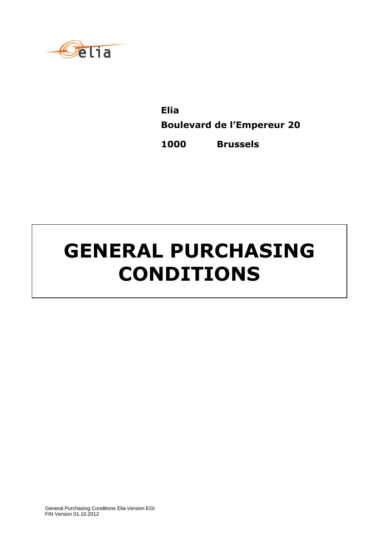

**Elia Boulevard de l'Empereur 20 1000 Brussels**

# **GENERAL PURCHASING CONDITIONS**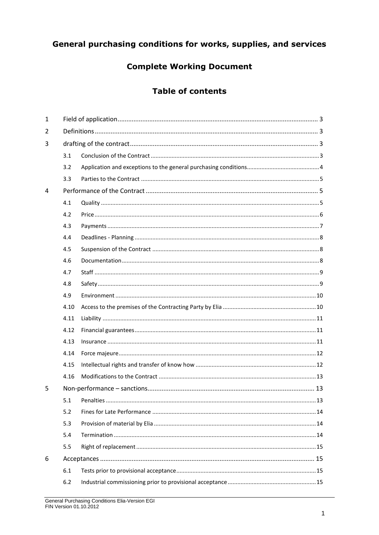# General purchasing conditions for works, supplies, and services

# **Complete Working Document**

# **Table of contents**

| $\mathbf{1}$ |      |           |    |  |  |
|--------------|------|-----------|----|--|--|
| 2            |      |           |    |  |  |
| 3            |      |           |    |  |  |
|              | 3.1  |           |    |  |  |
|              | 3.2  |           |    |  |  |
|              | 3.3  |           |    |  |  |
| 4            |      |           |    |  |  |
|              | 4.1  |           |    |  |  |
|              | 4.2  |           |    |  |  |
|              | 4.3  |           |    |  |  |
|              | 4.4  |           |    |  |  |
|              | 4.5  |           |    |  |  |
|              | 4.6  |           |    |  |  |
|              | 4.7  |           |    |  |  |
|              | 4.8  |           |    |  |  |
|              | 4.9  |           |    |  |  |
|              | 4.10 |           |    |  |  |
|              | 4.11 |           |    |  |  |
|              | 4.12 |           |    |  |  |
|              | 4.13 |           |    |  |  |
|              | 4.14 |           |    |  |  |
|              | 4.15 |           |    |  |  |
|              | 4.16 |           |    |  |  |
| 5            |      |           |    |  |  |
|              | 5.1  | Penalties | 13 |  |  |
|              | 5.2  |           |    |  |  |
|              | 5.3  |           |    |  |  |
|              | 5.4  |           |    |  |  |
|              | 5.5  |           |    |  |  |
| 6            |      |           |    |  |  |
|              | 6.1  |           |    |  |  |
|              | 6.2  |           |    |  |  |
|              |      |           |    |  |  |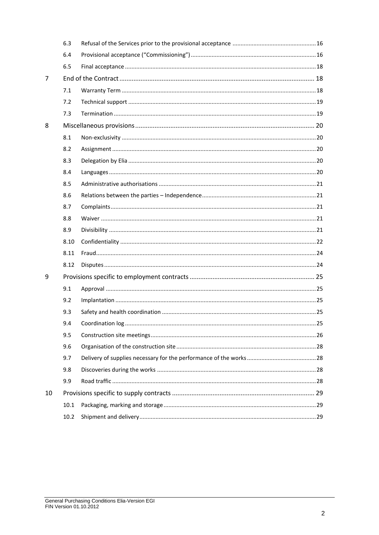|    | 6.3  |                   |    |  |
|----|------|-------------------|----|--|
|    | 6.4  |                   |    |  |
|    | 6.5  |                   |    |  |
| 7  |      |                   |    |  |
|    | 7.1  |                   |    |  |
|    | 7.2  |                   |    |  |
|    | 7.3  |                   |    |  |
| 8  |      |                   |    |  |
|    | 8.1  |                   |    |  |
|    | 8.2  |                   |    |  |
|    | 8.3  |                   |    |  |
|    | 8.4  |                   |    |  |
|    | 8.5  |                   |    |  |
|    | 8.6  |                   |    |  |
|    | 8.7  |                   |    |  |
|    | 8.8  |                   |    |  |
|    | 8.9  |                   |    |  |
|    | 8.10 |                   |    |  |
|    | 8.11 |                   |    |  |
|    | 8.12 |                   |    |  |
| 9  |      |                   |    |  |
|    | 9.1  |                   |    |  |
|    | 9.2  |                   |    |  |
|    | 9.3  |                   |    |  |
|    | 9.4  | Coordination log. | 25 |  |
|    | 9.5  |                   |    |  |
|    | 9.6  |                   |    |  |
|    | 9.7  |                   |    |  |
|    | 9.8  |                   |    |  |
|    | 9.9  |                   |    |  |
| 10 |      |                   |    |  |
|    | 10.1 |                   |    |  |
|    | 10.2 |                   |    |  |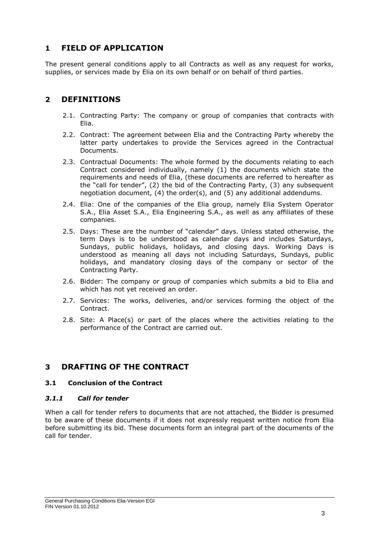# <span id="page-3-0"></span>**1 FIELD OF APPLICATION**

The present general conditions apply to all Contracts as well as any request for works, supplies, or services made by Elia on its own behalf or on behalf of third parties.

## <span id="page-3-1"></span>**2 DEFINITIONS**

- 2.1. Contracting Party: The company or group of companies that contracts with Elia.
- 2.2. Contract: The agreement between Elia and the Contracting Party whereby the latter party undertakes to provide the Services agreed in the Contractual Documents.
- 2.3. Contractual Documents: The whole formed by the documents relating to each Contract considered individually, namely (1) the documents which state the requirements and needs of Elia, (these documents are referred to hereafter as the "call for tender", (2) the bid of the Contracting Party, (3) any subsequent negotiation document, (4) the order(s), and (5) any additional addendums.
- 2.4. Elia: One of the companies of the Elia group, namely Elia System Operator S.A., Elia Asset S.A., Elia Engineering S.A., as well as any affiliates of these companies.
- 2.5. Days: These are the number of "calendar" days. Unless stated otherwise, the term Days is to be understood as calendar days and includes Saturdays, Sundays, public holidays, holidays, and closing days. Working Days is understood as meaning all days not including Saturdays, Sundays, public holidays, and mandatory closing days of the company or sector of the Contracting Party.
- 2.6. Bidder: The company or group of companies which submits a bid to Elia and which has not yet received an order.
- 2.7. Services: The works, deliveries, and/or services forming the object of the Contract.
- 2.8. Site: A Place(s) or part of the places where the activities relating to the performance of the Contract are carried out.

# <span id="page-3-2"></span>**3 DRAFTING OF THE CONTRACT**

#### <span id="page-3-3"></span>**3.1 Conclusion of the Contract**

#### *3.1.1 Call for tender*

When a call for tender refers to documents that are not attached, the Bidder is presumed to be aware of these documents if it does not expressly request written notice from Elia before submitting its bid. These documents form an integral part of the documents of the call for tender.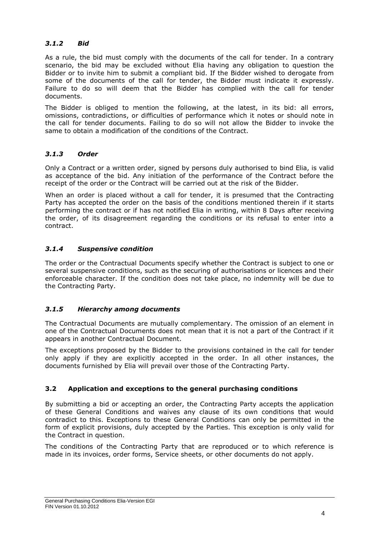## *3.1.2 Bid*

As a rule, the bid must comply with the documents of the call for tender. In a contrary scenario, the bid may be excluded without Elia having any obligation to question the Bidder or to invite him to submit a compliant bid. If the Bidder wished to derogate from some of the documents of the call for tender, the Bidder must indicate it expressly. Failure to do so will deem that the Bidder has complied with the call for tender documents.

The Bidder is obliged to mention the following, at the latest, in its bid: all errors, omissions, contradictions, or difficulties of performance which it notes or should note in the call for tender documents. Failing to do so will not allow the Bidder to invoke the same to obtain a modification of the conditions of the Contract.

## *3.1.3 Order*

Only a Contract or a written order, signed by persons duly authorised to bind Elia, is valid as acceptance of the bid. Any initiation of the performance of the Contract before the receipt of the order or the Contract will be carried out at the risk of the Bidder.

When an order is placed without a call for tender, it is presumed that the Contracting Party has accepted the order on the basis of the conditions mentioned therein if it starts performing the contract or if has not notified Elia in writing, within 8 Days after receiving the order, of its disagreement regarding the conditions or its refusal to enter into a contract.

## *3.1.4 Suspensive condition*

The order or the Contractual Documents specify whether the Contract is subject to one or several suspensive conditions, such as the securing of authorisations or licences and their enforceable character. If the condition does not take place, no indemnity will be due to the Contracting Party.

## *3.1.5 Hierarchy among documents*

The Contractual Documents are mutually complementary. The omission of an element in one of the Contractual Documents does not mean that it is not a part of the Contract if it appears in another Contractual Document.

The exceptions proposed by the Bidder to the provisions contained in the call for tender only apply if they are explicitly accepted in the order. In all other instances, the documents furnished by Elia will prevail over those of the Contracting Party.

## <span id="page-4-0"></span>**3.2 Application and exceptions to the general purchasing conditions**

By submitting a bid or accepting an order, the Contracting Party accepts the application of these General Conditions and waives any clause of its own conditions that would contradict to this. Exceptions to these General Conditions can only be permitted in the form of explicit provisions, duly accepted by the Parties. This exception is only valid for the Contract in question.

The conditions of the Contracting Party that are reproduced or to which reference is made in its invoices, order forms, Service sheets, or other documents do not apply.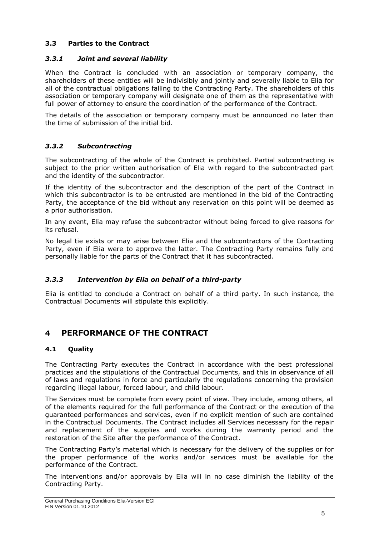## <span id="page-5-0"></span>**3.3 Parties to the Contract**

#### *3.3.1 Joint and several liability*

When the Contract is concluded with an association or temporary company, the shareholders of these entities will be indivisibly and jointly and severally liable to Elia for all of the contractual obligations falling to the Contracting Party. The shareholders of this association or temporary company will designate one of them as the representative with full power of attorney to ensure the coordination of the performance of the Contract.

The details of the association or temporary company must be announced no later than the time of submission of the initial bid.

## *3.3.2 Subcontracting*

The subcontracting of the whole of the Contract is prohibited. Partial subcontracting is subject to the prior written authorisation of Elia with regard to the subcontracted part and the identity of the subcontractor.

If the identity of the subcontractor and the description of the part of the Contract in which this subcontractor is to be entrusted are mentioned in the bid of the Contracting Party, the acceptance of the bid without any reservation on this point will be deemed as a prior authorisation.

In any event, Elia may refuse the subcontractor without being forced to give reasons for its refusal.

No legal tie exists or may arise between Elia and the subcontractors of the Contracting Party, even if Elia were to approve the latter. The Contracting Party remains fully and personally liable for the parts of the Contract that it has subcontracted.

#### *3.3.3 Intervention by Elia on behalf of a third-party*

Elia is entitled to conclude a Contract on behalf of a third party. In such instance, the Contractual Documents will stipulate this explicitly.

# <span id="page-5-1"></span>**4 PERFORMANCE OF THE CONTRACT**

#### <span id="page-5-2"></span>**4.1 Quality**

The Contracting Party executes the Contract in accordance with the best professional practices and the stipulations of the Contractual Documents, and this in observance of all of laws and regulations in force and particularly the regulations concerning the provision regarding illegal labour, forced labour, and child labour.

The Services must be complete from every point of view. They include, among others, all of the elements required for the full performance of the Contract or the execution of the guaranteed performances and services, even if no explicit mention of such are contained in the Contractual Documents. The Contract includes all Services necessary for the repair and replacement of the supplies and works during the warranty period and the restoration of the Site after the performance of the Contract.

The Contracting Party's material which is necessary for the delivery of the supplies or for the proper performance of the works and/or services must be available for the performance of the Contract.

The interventions and/or approvals by Elia will in no case diminish the liability of the Contracting Party.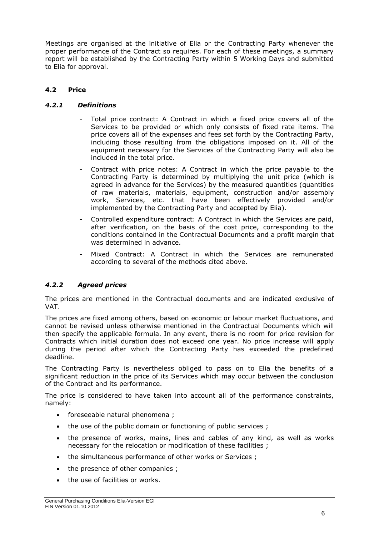Meetings are organised at the initiative of Elia or the Contracting Party whenever the proper performance of the Contract so requires. For each of these meetings, a summary report will be established by the Contracting Party within 5 Working Days and submitted to Elia for approval.

## <span id="page-6-0"></span>**4.2 Price**

## *4.2.1 Definitions*

- Total price contract: A Contract in which a fixed price covers all of the Services to be provided or which only consists of fixed rate items. The price covers all of the expenses and fees set forth by the Contracting Party, including those resulting from the obligations imposed on it. All of the equipment necessary for the Services of the Contracting Party will also be included in the total price.
- Contract with price notes: A Contract in which the price payable to the Contracting Party is determined by multiplying the unit price (which is agreed in advance for the Services) by the measured quantities (quantities of raw materials, materials, equipment, construction and/or assembly work, Services, etc. that have been effectively provided and/or implemented by the Contracting Party and accepted by Elia).
- Controlled expenditure contract: A Contract in which the Services are paid, after verification, on the basis of the cost price, corresponding to the conditions contained in the Contractual Documents and a profit margin that was determined in advance.
- Mixed Contract: A Contract in which the Services are remunerated according to several of the methods cited above.

## *4.2.2 Agreed prices*

The prices are mentioned in the Contractual documents and are indicated exclusive of VAT.

The prices are fixed among others, based on economic or labour market fluctuations, and cannot be revised unless otherwise mentioned in the Contractual Documents which will then specify the applicable formula. In any event, there is no room for price revision for Contracts which initial duration does not exceed one year. No price increase will apply during the period after which the Contracting Party has exceeded the predefined deadline.

The Contracting Party is nevertheless obliged to pass on to Elia the benefits of a significant reduction in the price of its Services which may occur between the conclusion of the Contract and its performance.

The price is considered to have taken into account all of the performance constraints, namely:

- foreseeable natural phenomena ;
- the use of the public domain or functioning of public services;
- the presence of works, mains, lines and cables of any kind, as well as works necessary for the relocation or modification of these facilities ;
- the simultaneous performance of other works or Services ;
- the presence of other companies ;
- the use of facilities or works.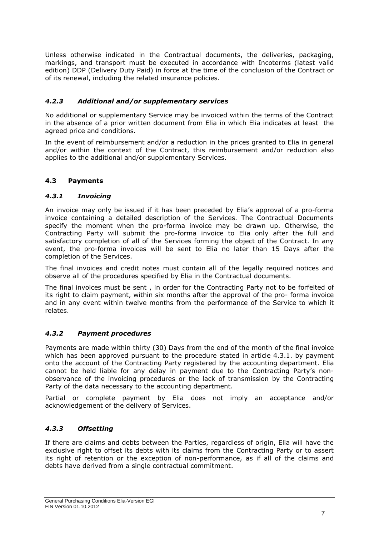Unless otherwise indicated in the Contractual documents, the deliveries, packaging, markings, and transport must be executed in accordance with Incoterms (latest valid edition) DDP (Delivery Duty Paid) in force at the time of the conclusion of the Contract or of its renewal, including the related insurance policies.

## *4.2.3 Additional and/or supplementary services*

No additional or supplementary Service may be invoiced within the terms of the Contract in the absence of a prior written document from Elia in which Elia indicates at least the agreed price and conditions.

In the event of reimbursement and/or a reduction in the prices granted to Elia in general and/or within the context of the Contract, this reimbursement and/or reduction also applies to the additional and/or supplementary Services.

## <span id="page-7-0"></span>**4.3 Payments**

## *4.3.1 Invoicing*

An invoice may only be issued if it has been preceded by Elia's approval of a pro-forma invoice containing a detailed description of the Services. The Contractual Documents specify the moment when the pro-forma invoice may be drawn up. Otherwise, the Contracting Party will submit the pro-forma invoice to Elia only after the full and satisfactory completion of all of the Services forming the object of the Contract. In any event, the pro-forma invoices will be sent to Elia no later than 15 Days after the completion of the Services.

The final invoices and credit notes must contain all of the legally required notices and observe all of the procedures specified by Elia in the Contractual documents.

The final invoices must be sent , in order for the Contracting Party not to be forfeited of its right to claim payment, within six months after the approval of the pro- forma invoice and in any event within twelve months from the performance of the Service to which it relates.

#### *4.3.2 Payment procedures*

Payments are made within thirty (30) Days from the end of the month of the final invoice which has been approved pursuant to the procedure stated in article 4.3.1. by payment onto the account of the Contracting Party registered by the accounting department. Elia cannot be held liable for any delay in payment due to the Contracting Party's nonobservance of the invoicing procedures or the lack of transmission by the Contracting Party of the data necessary to the accounting department.

Partial or complete payment by Elia does not imply an acceptance and/or acknowledgement of the delivery of Services.

## *4.3.3 Offsetting*

If there are claims and debts between the Parties, regardless of origin, Elia will have the exclusive right to offset its debts with its claims from the Contracting Party or to assert its right of retention or the exception of non-performance, as if all of the claims and debts have derived from a single contractual commitment.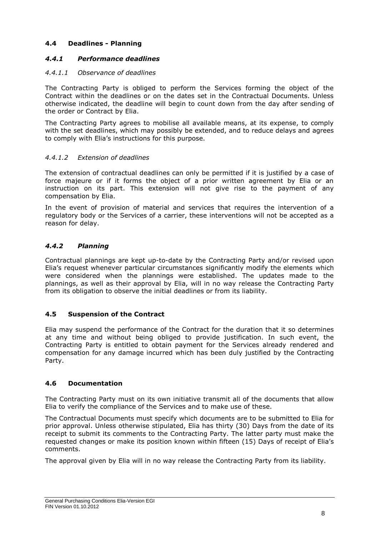## <span id="page-8-0"></span>**4.4 Deadlines - Planning**

## *4.4.1 Performance deadlines*

#### *4.4.1.1 Observance of deadlines*

The Contracting Party is obliged to perform the Services forming the object of the Contract within the deadlines or on the dates set in the Contractual Documents. Unless otherwise indicated, the deadline will begin to count down from the day after sending of the order or Contract by Elia.

The Contracting Party agrees to mobilise all available means, at its expense, to comply with the set deadlines, which may possibly be extended, and to reduce delays and agrees to comply with Elia's instructions for this purpose.

#### *4.4.1.2 Extension of deadlines*

The extension of contractual deadlines can only be permitted if it is justified by a case of force majeure or if it forms the object of a prior written agreement by Elia or an instruction on its part. This extension will not give rise to the payment of any compensation by Elia.

In the event of provision of material and services that requires the intervention of a regulatory body or the Services of a carrier, these interventions will not be accepted as a reason for delay.

## *4.4.2 Planning*

Contractual plannings are kept up-to-date by the Contracting Party and/or revised upon Elia's request whenever particular circumstances significantly modify the elements which were considered when the plannings were established. The updates made to the plannings, as well as their approval by Elia, will in no way release the Contracting Party from its obligation to observe the initial deadlines or from its liability.

#### <span id="page-8-1"></span>**4.5 Suspension of the Contract**

Elia may suspend the performance of the Contract for the duration that it so determines at any time and without being obliged to provide justification. In such event, the Contracting Party is entitled to obtain payment for the Services already rendered and compensation for any damage incurred which has been duly justified by the Contracting Party.

#### <span id="page-8-2"></span>**4.6 Documentation**

The Contracting Party must on its own initiative transmit all of the documents that allow Elia to verify the compliance of the Services and to make use of these.

The Contractual Documents must specify which documents are to be submitted to Elia for prior approval. Unless otherwise stipulated, Elia has thirty (30) Days from the date of its receipt to submit its comments to the Contracting Party. The latter party must make the requested changes or make its position known within fifteen (15) Days of receipt of Elia's comments.

The approval given by Elia will in no way release the Contracting Party from its liability.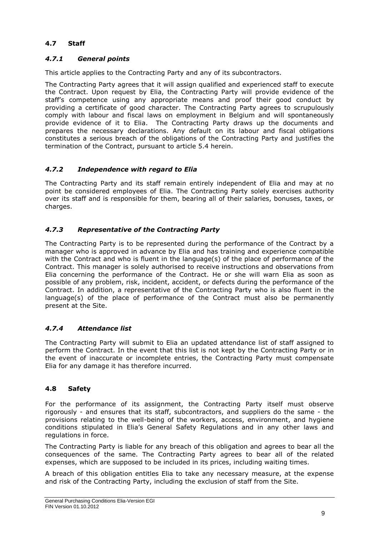## <span id="page-9-0"></span>**4.7 Staff**

## *4.7.1 General points*

This article applies to the Contracting Party and any of its subcontractors.

The Contracting Party agrees that it will assign qualified and experienced staff to execute the Contract. Upon request by Elia, the Contracting Party will provide evidence of the staff's competence using any appropriate means and proof their good conduct by providing a certificate of good character. The Contracting Party agrees to scrupulously comply with labour and fiscal laws on employment in Belgium and will spontaneously provide evidence of it to Elia. The Contracting Party draws up the documents and prepares the necessary declarations. Any default on its labour and fiscal obligations constitutes a serious breach of the obligations of the Contracting Party and justifies the termination of the Contract, pursuant to article 5.4 herein.

## *4.7.2 Independence with regard to Elia*

The Contracting Party and its staff remain entirely independent of Elia and may at no point be considered employees of Elia. The Contracting Party solely exercises authority over its staff and is responsible for them, bearing all of their salaries, bonuses, taxes, or charges.

## *4.7.3 Representative of the Contracting Party*

The Contracting Party is to be represented during the performance of the Contract by a manager who is approved in advance by Elia and has training and experience compatible with the Contract and who is fluent in the language(s) of the place of performance of the Contract. This manager is solely authorised to receive instructions and observations from Elia concerning the performance of the Contract. He or she will warn Elia as soon as possible of any problem, risk, incident, accident, or defects during the performance of the Contract. In addition, a representative of the Contracting Party who is also fluent in the language(s) of the place of performance of the Contract must also be permanently present at the Site.

## *4.7.4 Attendance list*

The Contracting Party will submit to Elia an updated attendance list of staff assigned to perform the Contract. In the event that this list is not kept by the Contracting Party or in the event of inaccurate or incomplete entries, the Contracting Party must compensate Elia for any damage it has therefore incurred.

#### <span id="page-9-1"></span>**4.8 Safety**

For the performance of its assignment, the Contracting Party itself must observe rigorously - and ensures that its staff, subcontractors, and suppliers do the same - the provisions relating to the well-being of the workers, access, environment, and hygiene conditions stipulated in Elia's General Safety Regulations and in any other laws and regulations in force.

The Contracting Party is liable for any breach of this obligation and agrees to bear all the consequences of the same. The Contracting Party agrees to bear all of the related expenses, which are supposed to be included in its prices, including waiting times.

A breach of this obligation entitles Elia to take any necessary measure, at the expense and risk of the Contracting Party, including the exclusion of staff from the Site.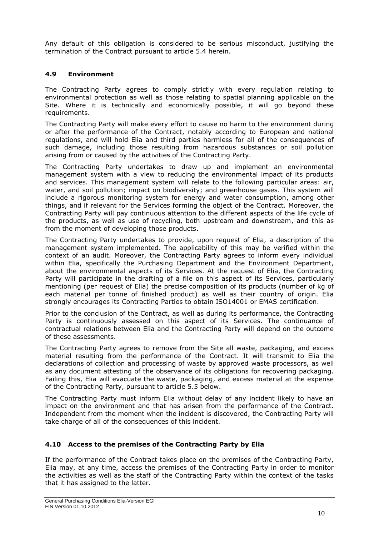Any default of this obligation is considered to be serious misconduct, justifying the termination of the Contract pursuant to article 5.4 herein.

## <span id="page-10-0"></span>**4.9 Environment**

The Contracting Party agrees to comply strictly with every regulation relating to environmental protection as well as those relating to spatial planning applicable on the Site. Where it is technically and economically possible, it will go beyond these requirements.

The Contracting Party will make every effort to cause no harm to the environment during or after the performance of the Contract, notably according to European and national regulations, and will hold Elia and third parties harmless for all of the consequences of such damage, including those resulting from hazardous substances or soil pollution arising from or caused by the activities of the Contracting Party.

The Contracting Party undertakes to draw up and implement an environmental management system with a view to reducing the environmental impact of its products and services. This management system will relate to the following particular areas: air, water, and soil pollution; impact on biodiversity; and greenhouse gases. This system will include a rigorous monitoring system for energy and water consumption, among other things, and if relevant for the Services forming the object of the Contract. Moreover, the Contracting Party will pay continuous attention to the different aspects of the life cycle of the products, as well as use of recycling, both upstream and downstream, and this as from the moment of developing those products.

The Contracting Party undertakes to provide, upon request of Elia, a description of the management system implemented. The applicability of this may be verified within the context of an audit. Moreover, the Contracting Party agrees to inform every individual within Elia, specifically the Purchasing Department and the Environment Department, about the environmental aspects of its Services. At the request of Elia, the Contracting Party will participate in the drafting of a file on this aspect of its Services, particularly mentioning (per request of Elia) the precise composition of its products (number of kg of each material per tonne of finished product) as well as their country of origin. Elia strongly encourages its Contracting Parties to obtain ISO14001 or EMAS certification.

Prior to the conclusion of the Contract, as well as during its performance, the Contracting Party is continuously assessed on this aspect of its Services. The continuance of contractual relations between Elia and the Contracting Party will depend on the outcome of these assessments.

The Contracting Party agrees to remove from the Site all waste, packaging, and excess material resulting from the performance of the Contract. It will transmit to Elia the declarations of collection and processing of waste by approved waste processors, as well as any document attesting of the observance of its obligations for recovering packaging. Failing this, Elia will evacuate the waste, packaging, and excess material at the expense of the Contracting Party, pursuant to article 5.5 below.

The Contracting Party must inform Elia without delay of any incident likely to have an impact on the environment and that has arisen from the performance of the Contract. Independent from the moment when the incident is discovered, the Contracting Party will take charge of all of the consequences of this incident.

## <span id="page-10-1"></span>**4.10 Access to the premises of the Contracting Party by Elia**

If the performance of the Contract takes place on the premises of the Contracting Party, Elia may, at any time, access the premises of the Contracting Party in order to monitor the activities as well as the staff of the Contracting Party within the context of the tasks that it has assigned to the latter.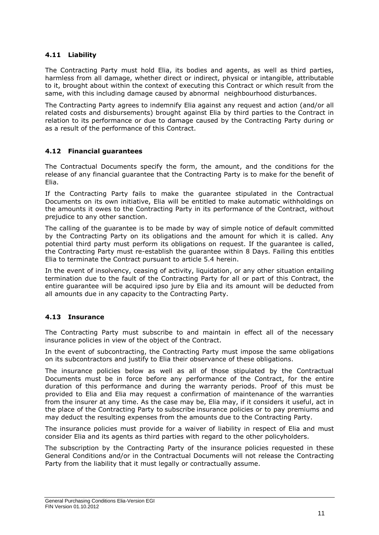## <span id="page-11-0"></span>**4.11 Liability**

The Contracting Party must hold Elia, its bodies and agents, as well as third parties, harmless from all damage, whether direct or indirect, physical or intangible, attributable to it, brought about within the context of executing this Contract or which result from the same, with this including damage caused by abnormal neighbourhood disturbances.

The Contracting Party agrees to indemnify Elia against any request and action (and/or all related costs and disbursements) brought against Elia by third parties to the Contract in relation to its performance or due to damage caused by the Contracting Party during or as a result of the performance of this Contract.

## <span id="page-11-1"></span>**4.12 Financial guarantees**

The Contractual Documents specify the form, the amount, and the conditions for the release of any financial guarantee that the Contracting Party is to make for the benefit of Elia.

If the Contracting Party fails to make the guarantee stipulated in the Contractual Documents on its own initiative, Elia will be entitled to make automatic withholdings on the amounts it owes to the Contracting Party in its performance of the Contract, without prejudice to any other sanction.

The calling of the guarantee is to be made by way of simple notice of default committed by the Contracting Party on its obligations and the amount for which it is called. Any potential third party must perform its obligations on request. If the guarantee is called, the Contracting Party must re-establish the guarantee within 8 Days. Failing this entitles Elia to terminate the Contract pursuant to article 5.4 herein.

In the event of insolvency, ceasing of activity, liquidation, or any other situation entailing termination due to the fault of the Contracting Party for all or part of this Contract, the entire guarantee will be acquired ipso jure by Elia and its amount will be deducted from all amounts due in any capacity to the Contracting Party.

#### <span id="page-11-2"></span>**4.13 Insurance**

The Contracting Party must subscribe to and maintain in effect all of the necessary insurance policies in view of the object of the Contract.

In the event of subcontracting, the Contracting Party must impose the same obligations on its subcontractors and justify to Elia their observance of these obligations.

The insurance policies below as well as all of those stipulated by the Contractual Documents must be in force before any performance of the Contract, for the entire duration of this performance and during the warranty periods. Proof of this must be provided to Elia and Elia may request a confirmation of maintenance of the warranties from the insurer at any time. As the case may be, Elia may, if it considers it useful, act in the place of the Contracting Party to subscribe insurance policies or to pay premiums and may deduct the resulting expenses from the amounts due to the Contracting Party.

The insurance policies must provide for a waiver of liability in respect of Elia and must consider Elia and its agents as third parties with regard to the other policyholders.

The subscription by the Contracting Party of the insurance policies requested in these General Conditions and/or in the Contractual Documents will not release the Contracting Party from the liability that it must legally or contractually assume.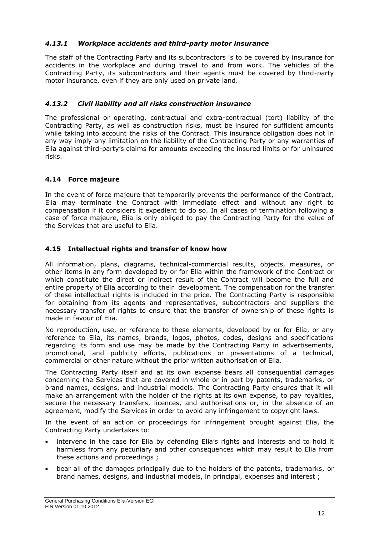## *4.13.1 Workplace accidents and third-party motor insurance*

The staff of the Contracting Party and its subcontractors is to be covered by insurance for accidents in the workplace and during travel to and from work. The vehicles of the Contracting Party, its subcontractors and their agents must be covered by third-party motor insurance, even if they are only used on private land.

## *4.13.2 Civil liability and all risks construction insurance*

The professional or operating, contractual and extra-contractual (tort) liability of the Contracting Party, as well as construction risks, must be insured for sufficient amounts while taking into account the risks of the Contract. This insurance obligation does not in any way imply any limitation on the liability of the Contracting Party or any warranties of Elia against third-party's claims for amounts exceeding the insured limits or for uninsured risks.

## <span id="page-12-0"></span>**4.14 Force majeure**

In the event of force majeure that temporarily prevents the performance of the Contract, Elia may terminate the Contract with immediate effect and without any right to compensation if it considers it expedient to do so. In all cases of termination following a case of force majeure, Elia is only obliged to pay the Contracting Party for the value of the Services that are useful to Elia.

## <span id="page-12-1"></span>**4.15 Intellectual rights and transfer of know how**

All information, plans, diagrams, technical-commercial results, objects, measures, or other items in any form developed by or for Elia within the framework of the Contract or which constitute the direct or indirect result of the Contract will become the full and entire property of Elia according to their development. The compensation for the transfer of these intellectual rights is included in the price. The Contracting Party is responsible for obtaining from its agents and representatives, subcontractors and suppliers the necessary transfer of rights to ensure that the transfer of ownership of these rights is made in favour of Elia.

No reproduction, use, or reference to these elements, developed by or for Elia, or any reference to Elia, its names, brands, logos, photos, codes, designs and specifications regarding its form and use may be made by the Contracting Party in advertisements, promotional, and publicity efforts, publications or presentations of a technical, commercial or other nature without the prior written authorisation of Elia.

The Contracting Party itself and at its own expense bears all consequential damages concerning the Services that are covered in whole or in part by patents, trademarks, or brand names, designs, and industrial models. The Contracting Party ensures that it will make an arrangement with the holder of the rights at its own expense, to pay royalties, secure the necessary transfers, licences, and authorisations or, in the absence of an agreement, modify the Services in order to avoid any infringement to copyright laws.

In the event of an action or proceedings for infringement brought against Elia, the Contracting Party undertakes to:

- intervene in the case for Elia by defending Elia's rights and interests and to hold it harmless from any pecuniary and other consequences which may result to Elia from these actions and proceedings ;
- bear all of the damages principally due to the holders of the patents, trademarks, or brand names, designs, and industrial models, in principal, expenses and interest ;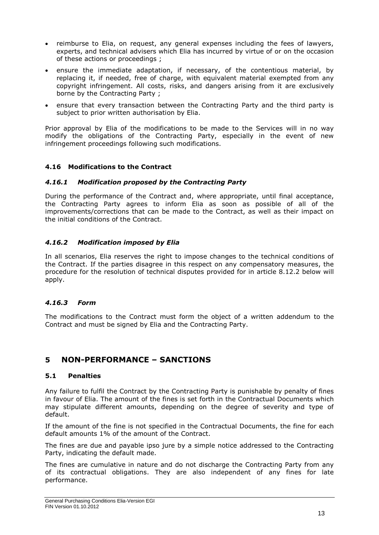- reimburse to Elia, on request, any general expenses including the fees of lawyers, experts, and technical advisers which Elia has incurred by virtue of or on the occasion of these actions or proceedings ;
- ensure the immediate adaptation, if necessary, of the contentious material, by replacing it, if needed, free of charge, with equivalent material exempted from any copyright infringement. All costs, risks, and dangers arising from it are exclusively borne by the Contracting Party ;
- ensure that every transaction between the Contracting Party and the third party is subject to prior written authorisation by Elia.

Prior approval by Elia of the modifications to be made to the Services will in no way modify the obligations of the Contracting Party, especially in the event of new infringement proceedings following such modifications.

## <span id="page-13-0"></span>**4.16 Modifications to the Contract**

#### *4.16.1 Modification proposed by the Contracting Party*

During the performance of the Contract and, where appropriate, until final acceptance, the Contracting Party agrees to inform Elia as soon as possible of all of the improvements/corrections that can be made to the Contract, as well as their impact on the initial conditions of the Contract.

#### *4.16.2 Modification imposed by Elia*

In all scenarios, Elia reserves the right to impose changes to the technical conditions of the Contract. If the parties disagree in this respect on any compensatory measures, the procedure for the resolution of technical disputes provided for in article 8.12.2 below will apply.

#### *4.16.3 Form*

The modifications to the Contract must form the object of a written addendum to the Contract and must be signed by Elia and the Contracting Party.

# <span id="page-13-1"></span>**5 NON-PERFORMANCE – SANCTIONS**

#### <span id="page-13-2"></span>**5.1 Penalties**

Any failure to fulfil the Contract by the Contracting Party is punishable by penalty of fines in favour of Elia. The amount of the fines is set forth in the Contractual Documents which may stipulate different amounts, depending on the degree of severity and type of default.

If the amount of the fine is not specified in the Contractual Documents, the fine for each default amounts 1% of the amount of the Contract.

The fines are due and payable ipso jure by a simple notice addressed to the Contracting Party, indicating the default made.

The fines are cumulative in nature and do not discharge the Contracting Party from any of its contractual obligations. They are also independent of any fines for late performance.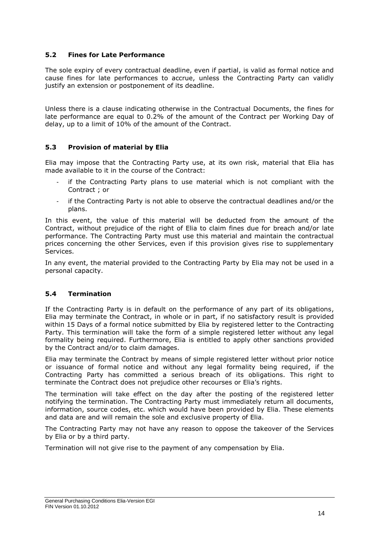## <span id="page-14-0"></span>**5.2 Fines for Late Performance**

The sole expiry of every contractual deadline, even if partial, is valid as formal notice and cause fines for late performances to accrue, unless the Contracting Party can validly justify an extension or postponement of its deadline.

Unless there is a clause indicating otherwise in the Contractual Documents, the fines for late performance are equal to 0.2% of the amount of the Contract per Working Day of delay, up to a limit of 10% of the amount of the Contract.

## <span id="page-14-1"></span>**5.3 Provision of material by Elia**

Elia may impose that the Contracting Party use, at its own risk, material that Elia has made available to it in the course of the Contract:

- if the Contracting Party plans to use material which is not compliant with the Contract ; or
- if the Contracting Party is not able to observe the contractual deadlines and/or the plans.

In this event, the value of this material will be deducted from the amount of the Contract, without prejudice of the right of Elia to claim fines due for breach and/or late performance. The Contracting Party must use this material and maintain the contractual prices concerning the other Services, even if this provision gives rise to supplementary Services.

In any event, the material provided to the Contracting Party by Elia may not be used in a personal capacity.

#### <span id="page-14-2"></span>**5.4 Termination**

If the Contracting Party is in default on the performance of any part of its obligations, Elia may terminate the Contract, in whole or in part, if no satisfactory result is provided within 15 Days of a formal notice submitted by Elia by registered letter to the Contracting Party. This termination will take the form of a simple registered letter without any legal formality being required. Furthermore, Elia is entitled to apply other sanctions provided by the Contract and/or to claim damages.

Elia may terminate the Contract by means of simple registered letter without prior notice or issuance of formal notice and without any legal formality being required, if the Contracting Party has committed a serious breach of its obligations. This right to terminate the Contract does not prejudice other recourses or Elia's rights.

The termination will take effect on the day after the posting of the registered letter notifying the termination. The Contracting Party must immediately return all documents, information, source codes, etc. which would have been provided by Elia. These elements and data are and will remain the sole and exclusive property of Elia.

The Contracting Party may not have any reason to oppose the takeover of the Services by Elia or by a third party.

Termination will not give rise to the payment of any compensation by Elia.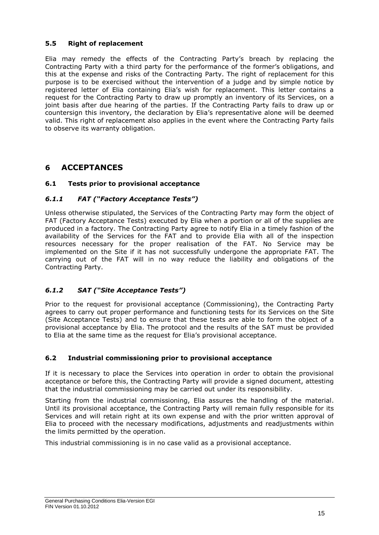## <span id="page-15-0"></span>**5.5 Right of replacement**

Elia may remedy the effects of the Contracting Party's breach by replacing the Contracting Party with a third party for the performance of the former's obligations, and this at the expense and risks of the Contracting Party. The right of replacement for this purpose is to be exercised without the intervention of a judge and by simple notice by registered letter of Elia containing Elia's wish for replacement. This letter contains a request for the Contracting Party to draw up promptly an inventory of its Services, on a joint basis after due hearing of the parties. If the Contracting Party fails to draw up or countersign this inventory, the declaration by Elia's representative alone will be deemed valid. This right of replacement also applies in the event where the Contracting Party fails to observe its warranty obligation.

# <span id="page-15-1"></span>**6 ACCEPTANCES**

## <span id="page-15-2"></span>**6.1 Tests prior to provisional acceptance**

## *6.1.1 FAT ("Factory Acceptance Tests")*

Unless otherwise stipulated, the Services of the Contracting Party may form the object of FAT (Factory Acceptance Tests) executed by Elia when a portion or all of the supplies are produced in a factory. The Contracting Party agree to notify Elia in a timely fashion of the availability of the Services for the FAT and to provide Elia with all of the inspection resources necessary for the proper realisation of the FAT. No Service may be implemented on the Site if it has not successfully undergone the appropriate FAT. The carrying out of the FAT will in no way reduce the liability and obligations of the Contracting Party.

## *6.1.2 SAT ("Site Acceptance Tests")*

Prior to the request for provisional acceptance (Commissioning), the Contracting Party agrees to carry out proper performance and functioning tests for its Services on the Site (Site Acceptance Tests) and to ensure that these tests are able to form the object of a provisional acceptance by Elia. The protocol and the results of the SAT must be provided to Elia at the same time as the request for Elia's provisional acceptance.

#### <span id="page-15-3"></span>**6.2 Industrial commissioning prior to provisional acceptance**

If it is necessary to place the Services into operation in order to obtain the provisional acceptance or before this, the Contracting Party will provide a signed document, attesting that the industrial commissioning may be carried out under its responsibility.

Starting from the industrial commissioning, Elia assures the handling of the material. Until its provisional acceptance, the Contracting Party will remain fully responsible for its Services and will retain right at its own expense and with the prior written approval of Elia to proceed with the necessary modifications, adjustments and readjustments within the limits permitted by the operation.

This industrial commissioning is in no case valid as a provisional acceptance.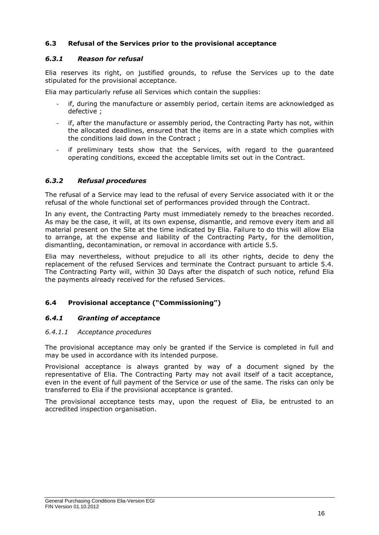## <span id="page-16-0"></span>**6.3 Refusal of the Services prior to the provisional acceptance**

#### *6.3.1 Reason for refusal*

Elia reserves its right, on justified grounds, to refuse the Services up to the date stipulated for the provisional acceptance.

Elia may particularly refuse all Services which contain the supplies:

- if, during the manufacture or assembly period, certain items are acknowledged as defective ;
- if, after the manufacture or assembly period, the Contracting Party has not, within the allocated deadlines, ensured that the items are in a state which complies with the conditions laid down in the Contract ;
- if preliminary tests show that the Services, with regard to the guaranteed operating conditions, exceed the acceptable limits set out in the Contract.

## *6.3.2 Refusal procedures*

The refusal of a Service may lead to the refusal of every Service associated with it or the refusal of the whole functional set of performances provided through the Contract.

In any event, the Contracting Party must immediately remedy to the breaches recorded. As may be the case, it will, at its own expense, dismantle, and remove every item and all material present on the Site at the time indicated by Elia. Failure to do this will allow Elia to arrange, at the expense and liability of the Contracting Party, for the demolition, dismantling, decontamination, or removal in accordance with article 5.5.

Elia may nevertheless, without prejudice to all its other rights, decide to deny the replacement of the refused Services and terminate the Contract pursuant to article 5.4. The Contracting Party will, within 30 Days after the dispatch of such notice, refund Elia the payments already received for the refused Services.

## <span id="page-16-1"></span>**6.4 Provisional acceptance ("Commissioning")**

#### *6.4.1 Granting of acceptance*

#### *6.4.1.1 Acceptance procedures*

The provisional acceptance may only be granted if the Service is completed in full and may be used in accordance with its intended purpose.

Provisional acceptance is always granted by way of a document signed by the representative of Elia. The Contracting Party may not avail itself of a tacit acceptance, even in the event of full payment of the Service or use of the same. The risks can only be transferred to Elia if the provisional acceptance is granted.

The provisional acceptance tests may, upon the request of Elia, be entrusted to an accredited inspection organisation.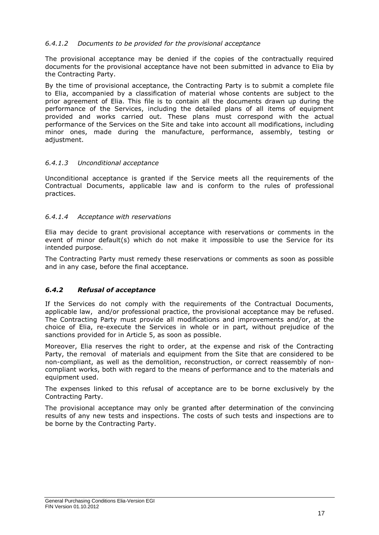## *6.4.1.2 Documents to be provided for the provisional acceptance*

The provisional acceptance may be denied if the copies of the contractually required documents for the provisional acceptance have not been submitted in advance to Elia by the Contracting Party.

By the time of provisional acceptance, the Contracting Party is to submit a complete file to Elia, accompanied by a classification of material whose contents are subject to the prior agreement of Elia. This file is to contain all the documents drawn up during the performance of the Services, including the detailed plans of all items of equipment provided and works carried out. These plans must correspond with the actual performance of the Services on the Site and take into account all modifications, including minor ones, made during the manufacture, performance, assembly, testing or adjustment.

#### *6.4.1.3 Unconditional acceptance*

Unconditional acceptance is granted if the Service meets all the requirements of the Contractual Documents, applicable law and is conform to the rules of professional practices.

#### *6.4.1.4 Acceptance with reservations*

Elia may decide to grant provisional acceptance with reservations or comments in the event of minor default(s) which do not make it impossible to use the Service for its intended purpose.

The Contracting Party must remedy these reservations or comments as soon as possible and in any case, before the final acceptance.

#### *6.4.2 Refusal of acceptance*

If the Services do not comply with the requirements of the Contractual Documents, applicable law, and/or professional practice, the provisional acceptance may be refused. The Contracting Party must provide all modifications and improvements and/or, at the choice of Elia, re-execute the Services in whole or in part, without prejudice of the sanctions provided for in Article [5,](#page-13-1) as soon as possible.

Moreover, Elia reserves the right to order, at the expense and risk of the Contracting Party, the removal of materials and equipment from the Site that are considered to be non-compliant, as well as the demolition, reconstruction, or correct reassembly of noncompliant works, both with regard to the means of performance and to the materials and equipment used.

The expenses linked to this refusal of acceptance are to be borne exclusively by the Contracting Party.

The provisional acceptance may only be granted after determination of the convincing results of any new tests and inspections. The costs of such tests and inspections are to be borne by the Contracting Party.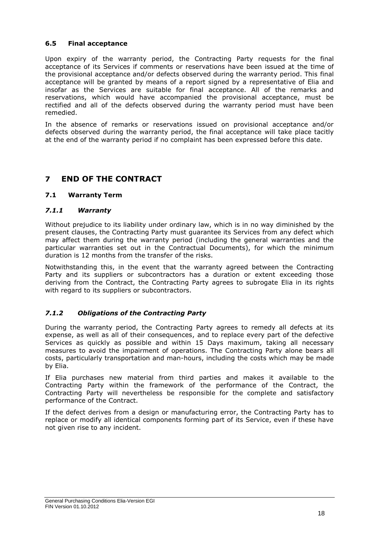## <span id="page-18-0"></span>**6.5 Final acceptance**

Upon expiry of the warranty period, the Contracting Party requests for the final acceptance of its Services if comments or reservations have been issued at the time of the provisional acceptance and/or defects observed during the warranty period. This final acceptance will be granted by means of a report signed by a representative of Elia and insofar as the Services are suitable for final acceptance. All of the remarks and reservations, which would have accompanied the provisional acceptance, must be rectified and all of the defects observed during the warranty period must have been remedied.

In the absence of remarks or reservations issued on provisional acceptance and/or defects observed during the warranty period, the final acceptance will take place tacitly at the end of the warranty period if no complaint has been expressed before this date.

# <span id="page-18-1"></span>**7 END OF THE CONTRACT**

## <span id="page-18-2"></span>**7.1 Warranty Term**

#### *7.1.1 Warranty*

Without prejudice to its liability under ordinary law, which is in no way diminished by the present clauses, the Contracting Party must guarantee its Services from any defect which may affect them during the warranty period (including the general warranties and the particular warranties set out in the Contractual Documents), for which the minimum duration is 12 months from the transfer of the risks.

Notwithstanding this, in the event that the warranty agreed between the Contracting Party and its suppliers or subcontractors has a duration or extent exceeding those deriving from the Contract, the Contracting Party agrees to subrogate Elia in its rights with regard to its suppliers or subcontractors.

## *7.1.2 Obligations of the Contracting Party*

During the warranty period, the Contracting Party agrees to remedy all defects at its expense, as well as all of their consequences, and to replace every part of the defective Services as quickly as possible and within 15 Days maximum, taking all necessary measures to avoid the impairment of operations. The Contracting Party alone bears all costs, particularly transportation and man-hours, including the costs which may be made by Elia.

If Elia purchases new material from third parties and makes it available to the Contracting Party within the framework of the performance of the Contract, the Contracting Party will nevertheless be responsible for the complete and satisfactory performance of the Contract.

If the defect derives from a design or manufacturing error, the Contracting Party has to replace or modify all identical components forming part of its Service, even if these have not given rise to any incident.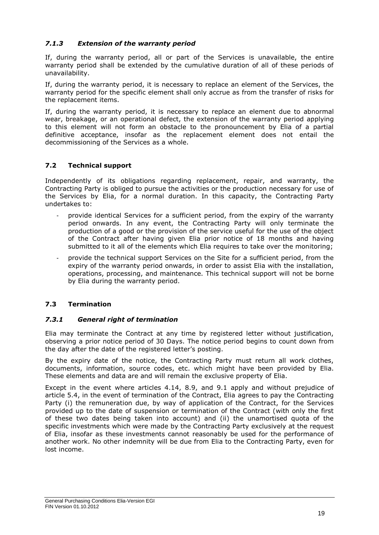## *7.1.3 Extension of the warranty period*

If, during the warranty period, all or part of the Services is unavailable, the entire warranty period shall be extended by the cumulative duration of all of these periods of unavailability.

If, during the warranty period, it is necessary to replace an element of the Services, the warranty period for the specific element shall only accrue as from the transfer of risks for the replacement items.

If, during the warranty period, it is necessary to replace an element due to abnormal wear, breakage, or an operational defect, the extension of the warranty period applying to this element will not form an obstacle to the pronouncement by Elia of a partial definitive acceptance, insofar as the replacement element does not entail the decommissioning of the Services as a whole.

## <span id="page-19-0"></span>**7.2 Technical support**

Independently of its obligations regarding replacement, repair, and warranty, the Contracting Party is obliged to pursue the activities or the production necessary for use of the Services by Elia, for a normal duration. In this capacity, the Contracting Party undertakes to:

- provide identical Services for a sufficient period, from the expiry of the warranty period onwards. In any event, the Contracting Party will only terminate the production of a good or the provision of the service useful for the use of the object of the Contract after having given Elia prior notice of 18 months and having submitted to it all of the elements which Elia requires to take over the monitoring;
- provide the technical support Services on the Site for a sufficient period, from the expiry of the warranty period onwards, in order to assist Elia with the installation, operations, processing, and maintenance. This technical support will not be borne by Elia during the warranty period.

## <span id="page-19-1"></span>**7.3 Termination**

#### *7.3.1 General right of termination*

Elia may terminate the Contract at any time by registered letter without justification, observing a prior notice period of 30 Days. The notice period begins to count down from the day after the date of the registered letter's posting.

By the expiry date of the notice, the Contracting Party must return all work clothes, documents, information, source codes, etc. which might have been provided by Elia. These elements and data are and will remain the exclusive property of Elia.

Except in the event where articles 4.14, 8.9, and 9.1 apply and without prejudice of article 5.4, in the event of termination of the Contract, Elia agrees to pay the Contracting Party (i) the remuneration due, by way of application of the Contract, for the Services provided up to the date of suspension or termination of the Contract (with only the first of these two dates being taken into account) and (ii) the unamortised quota of the specific investments which were made by the Contracting Party exclusively at the request of Elia, insofar as these investments cannot reasonably be used for the performance of another work. No other indemnity will be due from Elia to the Contracting Party, even for lost income.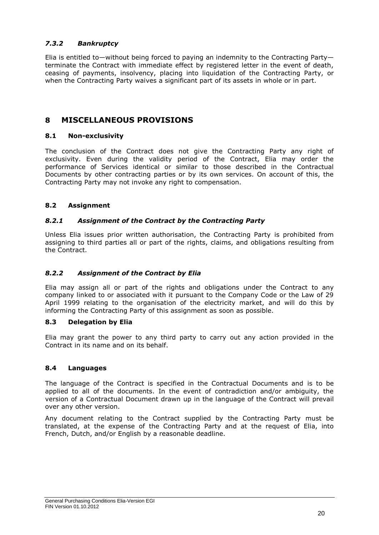## *7.3.2 Bankruptcy*

Elia is entitled to—without being forced to paying an indemnity to the Contracting Party terminate the Contract with immediate effect by registered letter in the event of death, ceasing of payments, insolvency, placing into liquidation of the Contracting Party, or when the Contracting Party waives a significant part of its assets in whole or in part.

# <span id="page-20-0"></span>**8 MISCELLANEOUS PROVISIONS**

## <span id="page-20-1"></span>**8.1 Non-exclusivity**

The conclusion of the Contract does not give the Contracting Party any right of exclusivity. Even during the validity period of the Contract, Elia may order the performance of Services identical or similar to those described in the Contractual Documents by other contracting parties or by its own services. On account of this, the Contracting Party may not invoke any right to compensation.

## <span id="page-20-2"></span>**8.2 Assignment**

#### *8.2.1 Assignment of the Contract by the Contracting Party*

Unless Elia issues prior written authorisation, the Contracting Party is prohibited from assigning to third parties all or part of the rights, claims, and obligations resulting from the Contract.

#### *8.2.2 Assignment of the Contract by Elia*

Elia may assign all or part of the rights and obligations under the Contract to any company linked to or associated with it pursuant to the Company Code or the Law of 29 April 1999 relating to the organisation of the electricity market, and will do this by informing the Contracting Party of this assignment as soon as possible.

#### <span id="page-20-3"></span>**8.3 Delegation by Elia**

Elia may grant the power to any third party to carry out any action provided in the Contract in its name and on its behalf.

#### <span id="page-20-4"></span>**8.4 Languages**

The language of the Contract is specified in the Contractual Documents and is to be applied to all of the documents. In the event of contradiction and/or ambiguity, the version of a Contractual Document drawn up in the language of the Contract will prevail over any other version.

Any document relating to the Contract supplied by the Contracting Party must be translated, at the expense of the Contracting Party and at the request of Elia, into French, Dutch, and/or English by a reasonable deadline.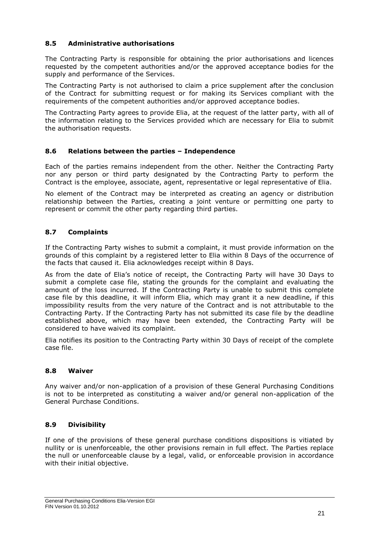## <span id="page-21-0"></span>**8.5 Administrative authorisations**

The Contracting Party is responsible for obtaining the prior authorisations and licences requested by the competent authorities and/or the approved acceptance bodies for the supply and performance of the Services.

The Contracting Party is not authorised to claim a price supplement after the conclusion of the Contract for submitting request or for making its Services compliant with the requirements of the competent authorities and/or approved acceptance bodies.

The Contracting Party agrees to provide Elia, at the request of the latter party, with all of the information relating to the Services provided which are necessary for Elia to submit the authorisation requests.

#### <span id="page-21-1"></span>**8.6 Relations between the parties – Independence**

Each of the parties remains independent from the other. Neither the Contracting Party nor any person or third party designated by the Contracting Party to perform the Contract is the employee, associate, agent, representative or legal representative of Elia.

No element of the Contract may be interpreted as creating an agency or distribution relationship between the Parties, creating a joint venture or permitting one party to represent or commit the other party regarding third parties.

#### <span id="page-21-2"></span>**8.7 Complaints**

If the Contracting Party wishes to submit a complaint, it must provide information on the grounds of this complaint by a registered letter to Elia within 8 Days of the occurrence of the facts that caused it. Elia acknowledges receipt within 8 Days.

As from the date of Elia's notice of receipt, the Contracting Party will have 30 Days to submit a complete case file, stating the grounds for the complaint and evaluating the amount of the loss incurred. If the Contracting Party is unable to submit this complete case file by this deadline, it will inform Elia, which may grant it a new deadline, if this impossibility results from the very nature of the Contract and is not attributable to the Contracting Party. If the Contracting Party has not submitted its case file by the deadline established above, which may have been extended, the Contracting Party will be considered to have waived its complaint.

Elia notifies its position to the Contracting Party within 30 Days of receipt of the complete case file.

#### <span id="page-21-3"></span>**8.8 Waiver**

Any waiver and/or non-application of a provision of these General Purchasing Conditions is not to be interpreted as constituting a waiver and/or general non-application of the General Purchase Conditions.

#### <span id="page-21-4"></span>**8.9 Divisibility**

If one of the provisions of these general purchase conditions dispositions is vitiated by nullity or is unenforceable, the other provisions remain in full effect. The Parties replace the null or unenforceable clause by a legal, valid, or enforceable provision in accordance with their initial objective.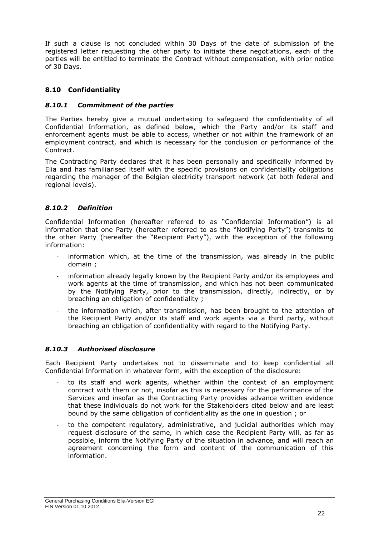If such a clause is not concluded within 30 Days of the date of submission of the registered letter requesting the other party to initiate these negotiations, each of the parties will be entitled to terminate the Contract without compensation, with prior notice of 30 Days.

## <span id="page-22-0"></span>**8.10 Confidentiality**

## *8.10.1 Commitment of the parties*

The Parties hereby give a mutual undertaking to safeguard the confidentiality of all Confidential Information, as defined below, which the Party and/or its staff and enforcement agents must be able to access, whether or not within the framework of an employment contract, and which is necessary for the conclusion or performance of the Contract.

The Contracting Party declares that it has been personally and specifically informed by Elia and has familiarised itself with the specific provisions on confidentiality obligations regarding the manager of the Belgian electricity transport network (at both federal and regional levels).

## *8.10.2 Definition*

Confidential Information (hereafter referred to as "Confidential Information") is all information that one Party (hereafter referred to as the "Notifying Party") transmits to the other Party (hereafter the "Recipient Party"), with the exception of the following information:

- information which, at the time of the transmission, was already in the public domain ;
- information already legally known by the Recipient Party and/or its employees and work agents at the time of transmission, and which has not been communicated by the Notifying Party, prior to the transmission, directly, indirectly, or by breaching an obligation of confidentiality ;
- the information which, after transmission, has been brought to the attention of the Recipient Party and/or its staff and work agents via a third party, without breaching an obligation of confidentiality with regard to the Notifying Party.

#### *8.10.3 Authorised disclosure*

Each Recipient Party undertakes not to disseminate and to keep confidential all Confidential Information in whatever form, with the exception of the disclosure:

- to its staff and work agents, whether within the context of an employment contract with them or not, insofar as this is necessary for the performance of the Services and insofar as the Contracting Party provides advance written evidence that these individuals do not work for the Stakeholders cited below and are least bound by the same obligation of confidentiality as the one in question ; or
- to the competent regulatory, administrative, and judicial authorities which may request disclosure of the same, in which case the Recipient Party will, as far as possible, inform the Notifying Party of the situation in advance, and will reach an agreement concerning the form and content of the communication of this information.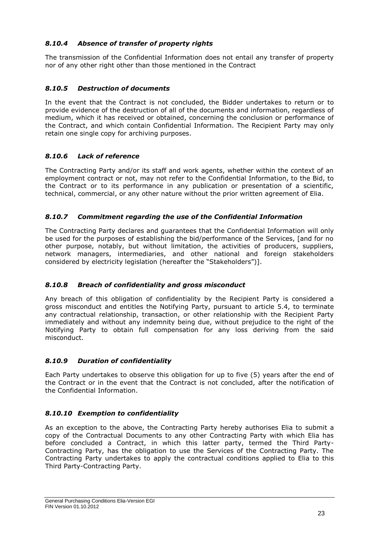## *8.10.4 Absence of transfer of property rights*

The transmission of the Confidential Information does not entail any transfer of property nor of any other right other than those mentioned in the Contract

## *8.10.5 Destruction of documents*

In the event that the Contract is not concluded, the Bidder undertakes to return or to provide evidence of the destruction of all of the documents and information, regardless of medium, which it has received or obtained, concerning the conclusion or performance of the Contract, and which contain Confidential Information. The Recipient Party may only retain one single copy for archiving purposes.

## *8.10.6 Lack of reference*

The Contracting Party and/or its staff and work agents, whether within the context of an employment contract or not, may not refer to the Confidential Information, to the Bid, to the Contract or to its performance in any publication or presentation of a scientific, technical, commercial, or any other nature without the prior written agreement of Elia.

## *8.10.7 Commitment regarding the use of the Confidential Information*

The Contracting Party declares and guarantees that the Confidential Information will only be used for the purposes of establishing the bid/performance of the Services, [and for no other purpose, notably, but without limitation, the activities of producers, suppliers, network managers, intermediaries, and other national and foreign stakeholders considered by electricity legislation (hereafter the "Stakeholders")].

## *8.10.8 Breach of confidentiality and gross misconduct*

Any breach of this obligation of confidentiality by the Recipient Party is considered a gross misconduct and entitles the Notifying Party, pursuant to article 5.4, to terminate any contractual relationship, transaction, or other relationship with the Recipient Party immediately and without any indemnity being due, without prejudice to the right of the Notifying Party to obtain full compensation for any loss deriving from the said misconduct.

## *8.10.9 Duration of confidentiality*

Each Party undertakes to observe this obligation for up to five (5) years after the end of the Contract or in the event that the Contract is not concluded, after the notification of the Confidential Information.

#### *8.10.10 Exemption to confidentiality*

As an exception to the above, the Contracting Party hereby authorises Elia to submit a copy of the Contractual Documents to any other Contracting Party with which Elia has before concluded a Contract, in which this latter party, termed the Third Party-Contracting Party, has the obligation to use the Services of the Contracting Party. The Contracting Party undertakes to apply the contractual conditions applied to Elia to this Third Party-Contracting Party.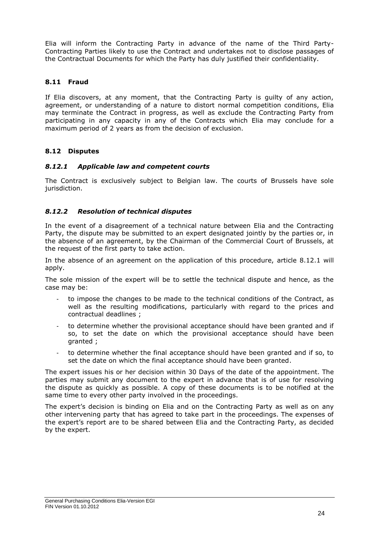Elia will inform the Contracting Party in advance of the name of the Third Party-Contracting Parties likely to use the Contract and undertakes not to disclose passages of the Contractual Documents for which the Party has duly justified their confidentiality.

## <span id="page-24-0"></span>**8.11 Fraud**

If Elia discovers, at any moment, that the Contracting Party is guilty of any action, agreement, or understanding of a nature to distort normal competition conditions, Elia may terminate the Contract in progress, as well as exclude the Contracting Party from participating in any capacity in any of the Contracts which Elia may conclude for a maximum period of 2 years as from the decision of exclusion.

## <span id="page-24-1"></span>**8.12 Disputes**

## <span id="page-24-2"></span>*8.12.1 Applicable law and competent courts*

The Contract is exclusively subject to Belgian law. The courts of Brussels have sole jurisdiction.

## *8.12.2 Resolution of technical disputes*

In the event of a disagreement of a technical nature between Elia and the Contracting Party, the dispute may be submitted to an expert designated jointly by the parties or, in the absence of an agreement, by the Chairman of the Commercial Court of Brussels, at the request of the first party to take action.

In the absence of an agreement on the application of this procedure, article [8.12.1](#page-24-2) will apply.

The sole mission of the expert will be to settle the technical dispute and hence, as the case may be:

- to impose the changes to be made to the technical conditions of the Contract, as well as the resulting modifications, particularly with regard to the prices and contractual deadlines ;
- to determine whether the provisional acceptance should have been granted and if so, to set the date on which the provisional acceptance should have been granted ;
- to determine whether the final acceptance should have been granted and if so, to set the date on which the final acceptance should have been granted.

The expert issues his or her decision within 30 Days of the date of the appointment. The parties may submit any document to the expert in advance that is of use for resolving the dispute as quickly as possible. A copy of these documents is to be notified at the same time to every other party involved in the proceedings.

The expert's decision is binding on Elia and on the Contracting Party as well as on any other intervening party that has agreed to take part in the proceedings. The expenses of the expert's report are to be shared between Elia and the Contracting Party, as decided by the expert.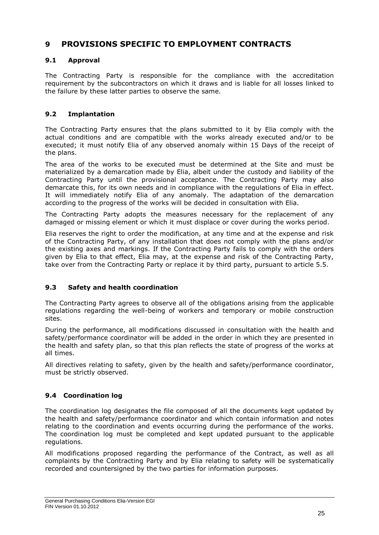# <span id="page-25-0"></span>**9 PROVISIONS SPECIFIC TO EMPLOYMENT CONTRACTS**

## <span id="page-25-1"></span>**9.1 Approval**

The Contracting Party is responsible for the compliance with the accreditation requirement by the subcontractors on which it draws and is liable for all losses linked to the failure by these latter parties to observe the same.

## <span id="page-25-2"></span>**9.2 Implantation**

The Contracting Party ensures that the plans submitted to it by Elia comply with the actual conditions and are compatible with the works already executed and/or to be executed; it must notify Elia of any observed anomaly within 15 Days of the receipt of the plans.

The area of the works to be executed must be determined at the Site and must be materialized by a demarcation made by Elia, albeit under the custody and liability of the Contracting Party until the provisional acceptance. The Contracting Party may also demarcate this, for its own needs and in compliance with the regulations of Elia in effect. It will immediately notify Elia of any anomaly. The adaptation of the demarcation according to the progress of the works will be decided in consultation with Elia.

The Contracting Party adopts the measures necessary for the replacement of any damaged or missing element or which it must displace or cover during the works period.

Elia reserves the right to order the modification, at any time and at the expense and risk of the Contracting Party, of any installation that does not comply with the plans and/or the existing axes and markings. If the Contracting Party fails to comply with the orders given by Elia to that effect, Elia may, at the expense and risk of the Contracting Party, take over from the Contracting Party or replace it by third party, pursuant to article 5.5.

#### <span id="page-25-3"></span>**9.3 Safety and health coordination**

The Contracting Party agrees to observe all of the obligations arising from the applicable regulations regarding the well-being of workers and temporary or mobile construction sites.

During the performance, all modifications discussed in consultation with the health and safety/performance coordinator will be added in the order in which they are presented in the health and safety plan, so that this plan reflects the state of progress of the works at all times.

All directives relating to safety, given by the health and safety/performance coordinator, must be strictly observed.

## <span id="page-25-4"></span>**9.4 Coordination log**

The coordination log designates the file composed of all the documents kept updated by the health and safety/performance coordinator and which contain information and notes relating to the coordination and events occurring during the performance of the works. The coordination log must be completed and kept updated pursuant to the applicable regulations.

All modifications proposed regarding the performance of the Contract, as well as all complaints by the Contracting Party and by Elia relating to safety will be systematically recorded and countersigned by the two parties for information purposes.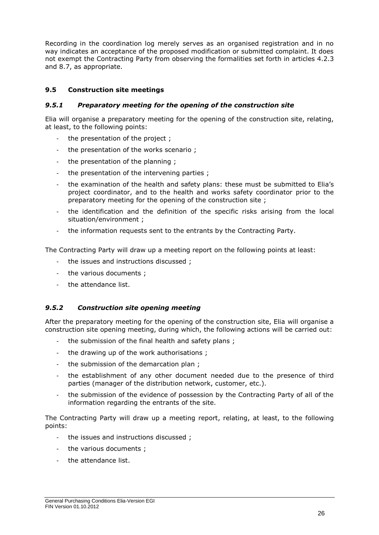Recording in the coordination log merely serves as an organised registration and in no way indicates an acceptance of the proposed modification or submitted complaint. It does not exempt the Contracting Party from observing the formalities set forth in articles 4.2.3 and 8.7, as appropriate.

## <span id="page-26-0"></span>**9.5 Construction site meetings**

#### *9.5.1 Preparatory meeting for the opening of the construction site*

Elia will organise a preparatory meeting for the opening of the construction site, relating, at least, to the following points:

- the presentation of the project ;
- the presentation of the works scenario ;
- the presentation of the planning ;
- the presentation of the intervening parties ;
- the examination of the health and safety plans: these must be submitted to Elia's project coordinator, and to the health and works safety coordinator prior to the preparatory meeting for the opening of the construction site ;
- the identification and the definition of the specific risks arising from the local situation/environment ;
- the information requests sent to the entrants by the Contracting Party.

The Contracting Party will draw up a meeting report on the following points at least:

- the issues and instructions discussed ;
- the various documents ;
- the attendance list.

## *9.5.2 Construction site opening meeting*

After the preparatory meeting for the opening of the construction site, Elia will organise a construction site opening meeting, during which, the following actions will be carried out:

- the submission of the final health and safety plans;
- the drawing up of the work authorisations ;
- the submission of the demarcation plan;
- the establishment of any other document needed due to the presence of third parties (manager of the distribution network, customer, etc.).
- the submission of the evidence of possession by the Contracting Party of all of the information regarding the entrants of the site.

The Contracting Party will draw up a meeting report, relating, at least, to the following points:

- the issues and instructions discussed;
- the various documents :
- the attendance list.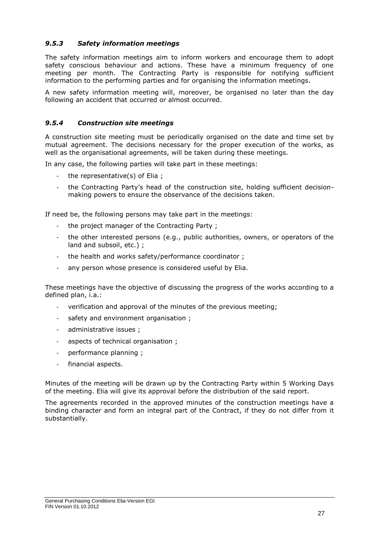## *9.5.3 Safety information meetings*

The safety information meetings aim to inform workers and encourage them to adopt safety conscious behaviour and actions. These have a minimum frequency of one meeting per month. The Contracting Party is responsible for notifying sufficient information to the performing parties and for organising the information meetings.

A new safety information meeting will, moreover, be organised no later than the day following an accident that occurred or almost occurred.

## *9.5.4 Construction site meetings*

A construction site meeting must be periodically organised on the date and time set by mutual agreement. The decisions necessary for the proper execution of the works, as well as the organisational agreements, will be taken during these meetings.

In any case, the following parties will take part in these meetings:

- the representative(s) of Elia ;
- the Contracting Party's head of the construction site, holding sufficient decisionmaking powers to ensure the observance of the decisions taken.

If need be, the following persons may take part in the meetings:

- the project manager of the Contracting Party ;
- the other interested persons (e.g., public authorities, owners, or operators of the land and subsoil, etc.) ;
- the health and works safety/performance coordinator :
- any person whose presence is considered useful by Elia.

These meetings have the objective of discussing the progress of the works according to a defined plan, i.a.:

- verification and approval of the minutes of the previous meeting;
- safety and environment organisation ;
- administrative issues ;
- aspects of technical organisation;
- performance planning ;
- financial aspects.

Minutes of the meeting will be drawn up by the Contracting Party within 5 Working Days of the meeting. Elia will give its approval before the distribution of the said report.

The agreements recorded in the approved minutes of the construction meetings have a binding character and form an integral part of the Contract, if they do not differ from it substantially.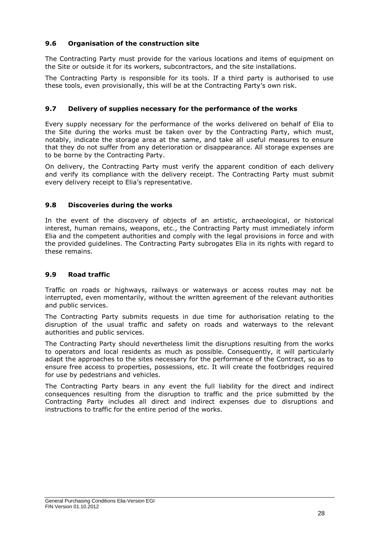## <span id="page-28-0"></span>**9.6 Organisation of the construction site**

The Contracting Party must provide for the various locations and items of equipment on the Site or outside it for its workers, subcontractors, and the site installations.

The Contracting Party is responsible for its tools. If a third party is authorised to use these tools, even provisionally, this will be at the Contracting Party's own risk.

#### <span id="page-28-1"></span>**9.7 Delivery of supplies necessary for the performance of the works**

Every supply necessary for the performance of the works delivered on behalf of Elia to the Site during the works must be taken over by the Contracting Party, which must, notably, indicate the storage area at the same, and take all useful measures to ensure that they do not suffer from any deterioration or disappearance. All storage expenses are to be borne by the Contracting Party.

On delivery, the Contracting Party must verify the apparent condition of each delivery and verify its compliance with the delivery receipt. The Contracting Party must submit every delivery receipt to Elia's representative.

## <span id="page-28-2"></span>**9.8 Discoveries during the works**

In the event of the discovery of objects of an artistic, archaeological, or historical interest, human remains, weapons, etc., the Contracting Party must immediately inform Elia and the competent authorities and comply with the legal provisions in force and with the provided guidelines. The Contracting Party subrogates Elia in its rights with regard to these remains.

## <span id="page-28-3"></span>**9.9 Road traffic**

Traffic on roads or highways, railways or waterways or access routes may not be interrupted, even momentarily, without the written agreement of the relevant authorities and public services.

The Contracting Party submits requests in due time for authorisation relating to the disruption of the usual traffic and safety on roads and waterways to the relevant authorities and public services.

The Contracting Party should nevertheless limit the disruptions resulting from the works to operators and local residents as much as possible. Consequently, it will particularly adapt the approaches to the sites necessary for the performance of the Contract, so as to ensure free access to properties, possessions, etc. It will create the footbridges required for use by pedestrians and vehicles.

The Contracting Party bears in any event the full liability for the direct and indirect consequences resulting from the disruption to traffic and the price submitted by the Contracting Party includes all direct and indirect expenses due to disruptions and instructions to traffic for the entire period of the works.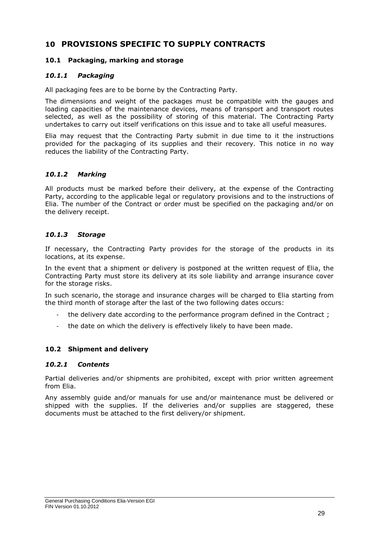# <span id="page-29-0"></span>**10 PROVISIONS SPECIFIC TO SUPPLY CONTRACTS**

## <span id="page-29-1"></span>**10.1 Packaging, marking and storage**

## *10.1.1 Packaging*

All packaging fees are to be borne by the Contracting Party.

The dimensions and weight of the packages must be compatible with the gauges and loading capacities of the maintenance devices, means of transport and transport routes selected, as well as the possibility of storing of this material. The Contracting Party undertakes to carry out itself verifications on this issue and to take all useful measures.

Elia may request that the Contracting Party submit in due time to it the instructions provided for the packaging of its supplies and their recovery. This notice in no way reduces the liability of the Contracting Party.

## *10.1.2 Marking*

All products must be marked before their delivery, at the expense of the Contracting Party, according to the applicable legal or regulatory provisions and to the instructions of Elia. The number of the Contract or order must be specified on the packaging and/or on the delivery receipt.

## *10.1.3 Storage*

If necessary, the Contracting Party provides for the storage of the products in its locations, at its expense.

In the event that a shipment or delivery is postponed at the written request of Elia, the Contracting Party must store its delivery at its sole liability and arrange insurance cover for the storage risks.

In such scenario, the storage and insurance charges will be charged to Elia starting from the third month of storage after the last of the two following dates occurs:

- the delivery date according to the performance program defined in the Contract ;
- the date on which the delivery is effectively likely to have been made.

#### <span id="page-29-2"></span>**10.2 Shipment and delivery**

#### *10.2.1 Contents*

Partial deliveries and/or shipments are prohibited, except with prior written agreement from Elia.

Any assembly guide and/or manuals for use and/or maintenance must be delivered or shipped with the supplies. If the deliveries and/or supplies are staggered, these documents must be attached to the first delivery/or shipment.